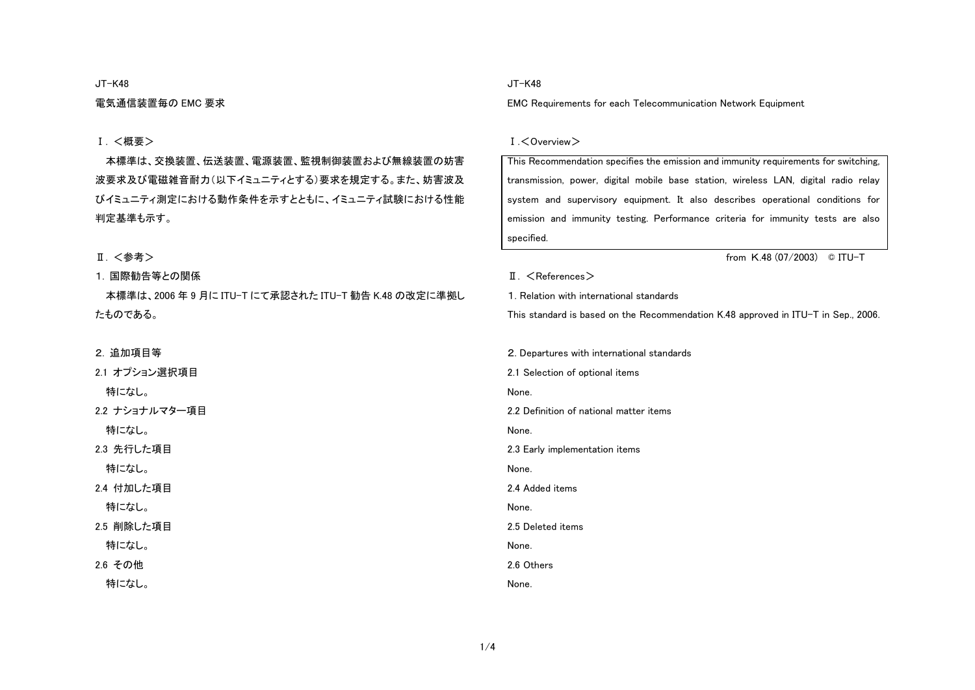#### JT-K48

電気通信装置毎の EMC 要求

## Ⅰ. <概要>

本標準は、交換装置、伝送装置、電源装置、監視制御装置および無線装置の妨害 波要求及び電磁雑音耐力(以下イミュニティとする)要求を規定する。また、妨害波及 びイミュニティ測定における動作条件を示すとともに、イミュニティ試験における性能 判定基準も示す。

# Ⅱ. <参考>

## 1. 国際勧告等との関係

本標準は、2006 年 9 月に ITU-T にて承認された ITU-T 勧告 K.48 の改定に準拠し たものである。

2. 追加項目等

2.1 オプション選択項目 特になし。 2.2 ナショナルマター項目 特になし。 2.3 先行した項目 特になし。 2.4 付加した項目 特になし。 2.5 削除した項目 特になし。 2.6 その他

特になし。

### JT-K48

EMC Requirements for each Telecommunication Network Equipment

#### Ⅰ.<Overview>

| This Recommendation specifies the emission and immunity requirements for switching, |
|-------------------------------------------------------------------------------------|
| transmission, power, digital mobile base station, wireless LAN, digital radio relay |
| system and supervisory equipment. It also describes operational conditions for      |
| emission and immunity testing. Performance criteria for immunity tests are also     |
| specified.                                                                          |
| from K.48 (07/2003)<br>© ITU-T                                                      |
| $\mathbb{I}$ . $\leq$ References $>$                                                |
| 1. Relation with international standards                                            |
| This standard is based on the Recommendation K.48 approved in ITU-T in Sep., 2006.  |
|                                                                                     |
| 2. Departures with international standards                                          |
| 2.1 Selection of optional items                                                     |
| None.                                                                               |
| 2.2 Definition of national matter items                                             |
| None.                                                                               |
| 2.3 Early implementation items                                                      |
| None.                                                                               |

2.4 Added items

None.

2.5 Deleted items

None.

2.6 Others

None.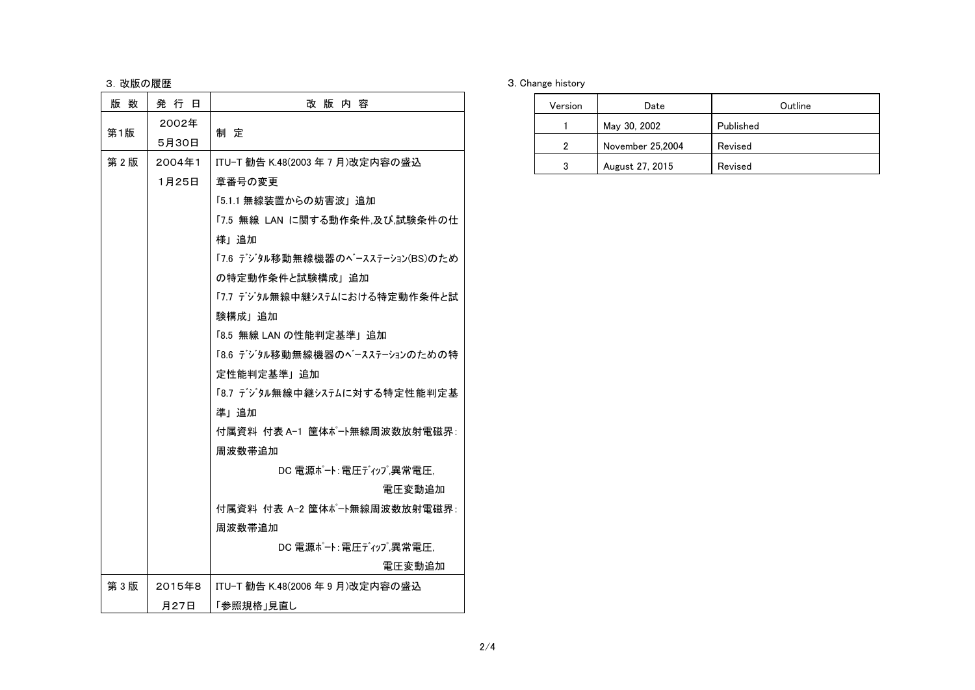# 3. 改版の履歴

| 版数  | 発 行 日          | 改版内容                             |  |  |  |
|-----|----------------|----------------------------------|--|--|--|
| 第1版 | 2002年<br>5月30日 | 制 定                              |  |  |  |
| 第2版 | 2004年1         | ITU−T 勧告 K.48(2003 年 7 月)改定内容の盛込 |  |  |  |
|     | 1月25日          | 章番号の変更                           |  |  |  |
|     |                | 「5.1.1 無線装置からの妨害波」追加             |  |  |  |
|     |                | 「7.5 無線 LAN に関する動作条件.及び.試験条件の仕   |  |  |  |
|     |                | 様」追加                             |  |  |  |
|     |                | 「7.6 デジタル移動無線機器のベースステーション(BS)のため |  |  |  |
|     |                | の特定動作条件と試験構成」追加                  |  |  |  |
|     |                | 「7.7 デジタル無線中継システムにおける特定動作条件と試    |  |  |  |
|     |                | 験構成   追加                         |  |  |  |
|     |                | 「8.5 無線 LAN の性能判定基準」追加           |  |  |  |
|     |                | 「8.6 デジタル移動無線機器のベースステーションのための特   |  |  |  |
|     |                | 定性能判定基準」追加                       |  |  |  |
|     |                | 「8.7 デジタル無線中継システムに対する特定性能判定基     |  |  |  |
|     |                | 準1 追加                            |  |  |  |
|     |                | 付属資料 付表 A-1 筐体ポート無線周波数放射雷磁界:     |  |  |  |
|     |                | 周波数帯追加                           |  |  |  |
|     |                | DC 電源ポート: 電圧ディップ 異常電圧.           |  |  |  |
|     |                | 電圧変動追加                           |  |  |  |
|     |                | 付属資料 付表 A-2 筐体ポート無線周波数放射電磁界:     |  |  |  |
|     |                | 周波数帯追加                           |  |  |  |
|     |                | DC 電源ポート:電圧ディップ異常電圧.             |  |  |  |
|     |                | 電圧変動追加                           |  |  |  |
| 第3版 | 2015年8         | ITU-T 勧告 K.48(2006 年 9 月)改定内容の盛込 |  |  |  |
|     | 月27日           | 「参照規格」見直し                        |  |  |  |

## 3. Change history

| Version | Date             | Outline   |  |
|---------|------------------|-----------|--|
|         | May 30, 2002     | Published |  |
| 2       | November 25,2004 | Revised   |  |
| 3       | August 27, 2015  | Revised   |  |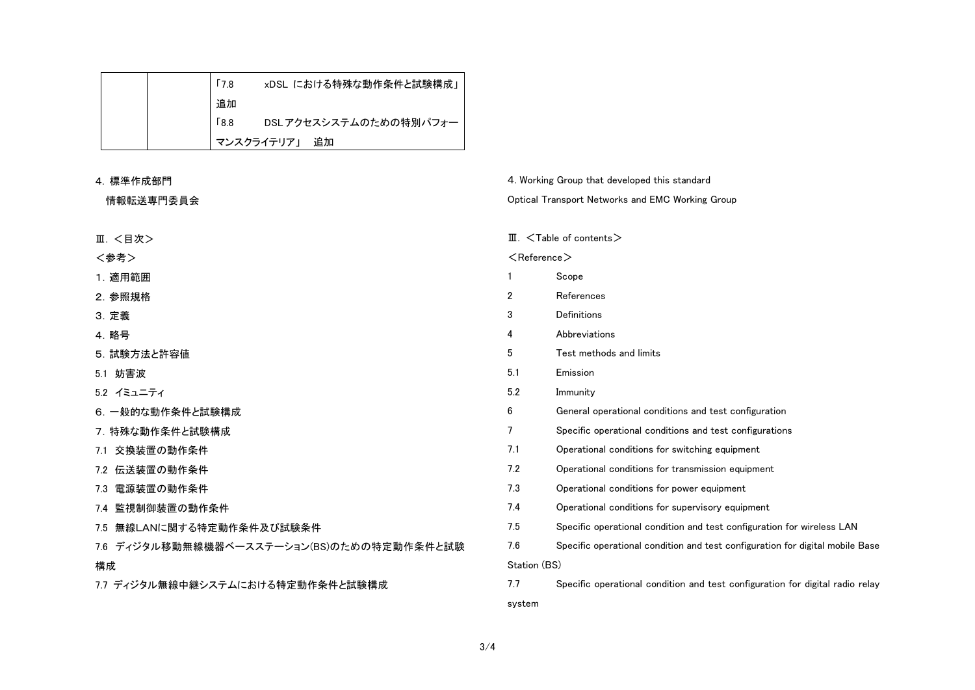|  | <b>Γ7.8</b> | xDSL における特殊な動作条件と試験構成」 |
|--|-------------|------------------------|
|  | 追加          |                        |
|  | <b>6.8</b>  | DSLアクセスシステムのための特別パフォー  |
|  |             | マンスクライテリア」 追加          |

| 4. 標準作成部門                                    |                                                  | 4. Working Group that developed this standard                                 |  |  |
|----------------------------------------------|--------------------------------------------------|-------------------------------------------------------------------------------|--|--|
| 情報転送専門委員会                                    | Optical Transport Networks and EMC Working Group |                                                                               |  |  |
|                                              |                                                  |                                                                               |  |  |
| Ⅲ. <目次>                                      | Ш.                                               | $\leq$ Table of contents $>$                                                  |  |  |
| <参考>                                         | $\leq$ Reference $>$                             |                                                                               |  |  |
| 1. 適用範囲                                      |                                                  | Scope                                                                         |  |  |
| 2. 参照規格                                      | 2                                                | References                                                                    |  |  |
| 3. 定義                                        | 3                                                | Definitions                                                                   |  |  |
| 4. 略号                                        | 4                                                | Abbreviations                                                                 |  |  |
| 5. 試験方法と許容値                                  | 5                                                | Test methods and limits                                                       |  |  |
| 5.1 妨害波                                      | 5.1                                              | Emission                                                                      |  |  |
| 5.2 イミュニティ                                   | 5.2                                              | Immunity                                                                      |  |  |
| 6. 一般的な動作条件と試験構成                             | 6                                                | General operational conditions and test configuration                         |  |  |
| 7. 特殊な動作条件と試験構成                              | 7                                                | Specific operational conditions and test configurations                       |  |  |
| 7.1 交換装置の動作条件                                | 7.1                                              | Operational conditions for switching equipment                                |  |  |
| 7.2 伝送装置の動作条件                                | 7.2                                              | Operational conditions for transmission equipment                             |  |  |
| 電源装置の動作条件<br>7.3                             | 7.3                                              | Operational conditions for power equipment                                    |  |  |
| 7.4 監視制御装置の動作条件                              | 7.4                                              | Operational conditions for supervisory equipment                              |  |  |
| 7.5 無線LANに関する特定動作条件及び試験条件                    | 7.5                                              | Specific operational condition and test configuration for wireless LAN        |  |  |
| ディジタル移動無線機器ベースステーション(BS)のための特定動作条件と試験<br>7.6 | 7.6                                              | Specific operational condition and test configuration for digital mobile Base |  |  |
| 構成                                           | Station (BS)                                     |                                                                               |  |  |
| 7.7 ディジタル無線中継システムにおける特定動作条件と試験構成             | 7.7                                              | Specific operational condition and test configuration for digital radio relay |  |  |
|                                              | system                                           |                                                                               |  |  |